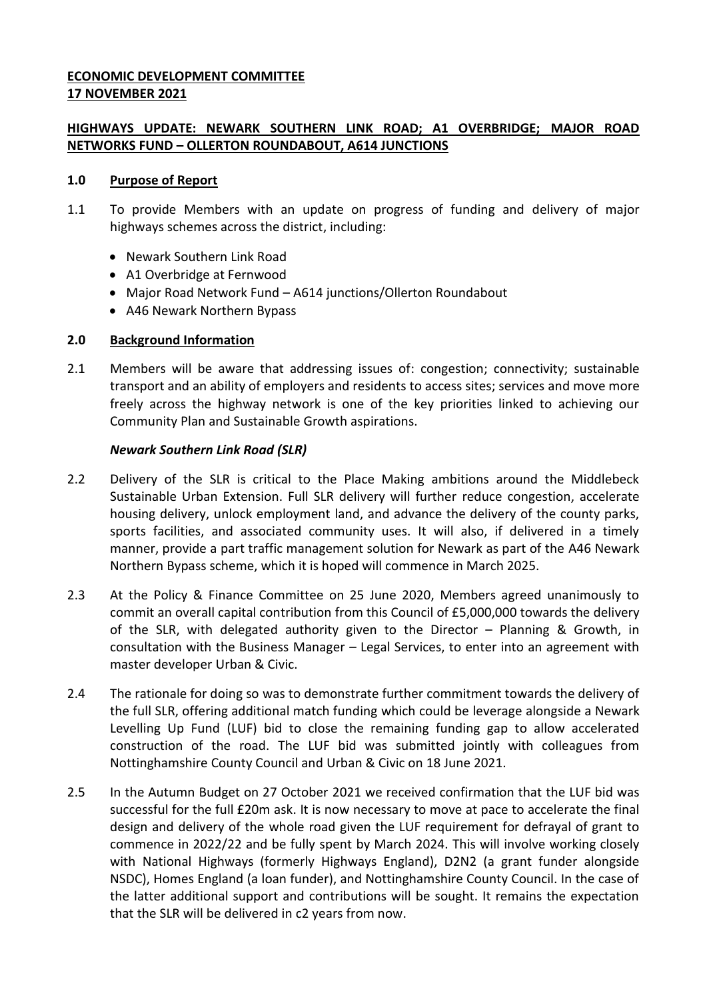## **ECONOMIC DEVELOPMENT COMMITTEE 17 NOVEMBER 2021**

# **HIGHWAYS UPDATE: NEWARK SOUTHERN LINK ROAD; A1 OVERBRIDGE; MAJOR ROAD NETWORKS FUND – OLLERTON ROUNDABOUT, A614 JUNCTIONS**

### **1.0 Purpose of Report**

- 1.1 To provide Members with an update on progress of funding and delivery of major highways schemes across the district, including:
	- Newark Southern Link Road
	- A1 Overbridge at Fernwood
	- Major Road Network Fund A614 junctions/Ollerton Roundabout
	- A46 Newark Northern Bypass

## **2.0 Background Information**

2.1 Members will be aware that addressing issues of: congestion; connectivity; sustainable transport and an ability of employers and residents to access sites; services and move more freely across the highway network is one of the key priorities linked to achieving our Community Plan and Sustainable Growth aspirations.

## *Newark Southern Link Road (SLR)*

- 2.2 Delivery of the SLR is critical to the Place Making ambitions around the Middlebeck Sustainable Urban Extension. Full SLR delivery will further reduce congestion, accelerate housing delivery, unlock employment land, and advance the delivery of the county parks, sports facilities, and associated community uses. It will also, if delivered in a timely manner, provide a part traffic management solution for Newark as part of the A46 Newark Northern Bypass scheme, which it is hoped will commence in March 2025.
- 2.3 At the Policy & Finance Committee on 25 June 2020, Members agreed unanimously to commit an overall capital contribution from this Council of £5,000,000 towards the delivery of the SLR, with delegated authority given to the Director – Planning & Growth, in consultation with the Business Manager – Legal Services, to enter into an agreement with master developer Urban & Civic.
- 2.4 The rationale for doing so was to demonstrate further commitment towards the delivery of the full SLR, offering additional match funding which could be leverage alongside a Newark Levelling Up Fund (LUF) bid to close the remaining funding gap to allow accelerated construction of the road. The LUF bid was submitted jointly with colleagues from Nottinghamshire County Council and Urban & Civic on 18 June 2021.
- 2.5 In the Autumn Budget on 27 October 2021 we received confirmation that the LUF bid was successful for the full £20m ask. It is now necessary to move at pace to accelerate the final design and delivery of the whole road given the LUF requirement for defrayal of grant to commence in 2022/22 and be fully spent by March 2024. This will involve working closely with National Highways (formerly Highways England), D2N2 (a grant funder alongside NSDC), Homes England (a loan funder), and Nottinghamshire County Council. In the case of the latter additional support and contributions will be sought. It remains the expectation that the SLR will be delivered in c2 years from now.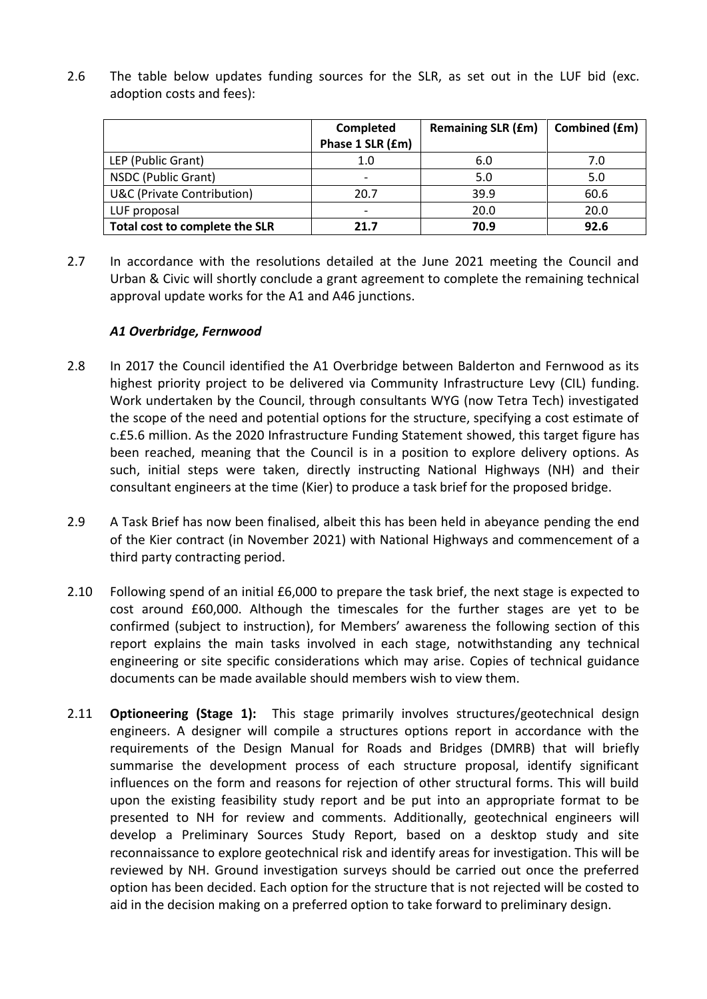2.6 The table below updates funding sources for the SLR, as set out in the LUF bid (exc. adoption costs and fees):

|                                       | Completed                | <b>Remaining SLR (£m)</b> | Combined (£m) |
|---------------------------------------|--------------------------|---------------------------|---------------|
|                                       | Phase 1 SLR (£m)         |                           |               |
| LEP (Public Grant)                    | 1.0                      | 6.0                       | 7.0           |
| NSDC (Public Grant)                   | $\overline{\phantom{0}}$ | 5.0                       | 5.0           |
| <b>U&amp;C (Private Contribution)</b> | 20.7                     | 39.9                      | 60.6          |
| LUF proposal                          | $\overline{\phantom{0}}$ | 20.0                      | 20.0          |
| Total cost to complete the SLR        | 21.7                     | 70.9                      | 92.6          |

2.7 In accordance with the resolutions detailed at the June 2021 meeting the Council and Urban & Civic will shortly conclude a grant agreement to complete the remaining technical approval update works for the A1 and A46 junctions.

### *A1 Overbridge, Fernwood*

- 2.8 In 2017 the Council identified the A1 Overbridge between Balderton and Fernwood as its highest priority project to be delivered via Community Infrastructure Levy (CIL) funding. Work undertaken by the Council, through consultants WYG (now Tetra Tech) investigated the scope of the need and potential options for the structure, specifying a cost estimate of c.£5.6 million. As the 2020 Infrastructure Funding Statement showed, this target figure has been reached, meaning that the Council is in a position to explore delivery options. As such, initial steps were taken, directly instructing National Highways (NH) and their consultant engineers at the time (Kier) to produce a task brief for the proposed bridge.
- 2.9 A Task Brief has now been finalised, albeit this has been held in abeyance pending the end of the Kier contract (in November 2021) with National Highways and commencement of a third party contracting period.
- 2.10 Following spend of an initial £6,000 to prepare the task brief, the next stage is expected to cost around £60,000. Although the timescales for the further stages are yet to be confirmed (subject to instruction), for Members' awareness the following section of this report explains the main tasks involved in each stage, notwithstanding any technical engineering or site specific considerations which may arise. Copies of technical guidance documents can be made available should members wish to view them.
- 2.11 **Optioneering (Stage 1):** This stage primarily involves structures/geotechnical design engineers. A designer will compile a structures options report in accordance with the requirements of the Design Manual for Roads and Bridges (DMRB) that will briefly summarise the development process of each structure proposal, identify significant influences on the form and reasons for rejection of other structural forms. This will build upon the existing feasibility study report and be put into an appropriate format to be presented to NH for review and comments. Additionally, geotechnical engineers will develop a Preliminary Sources Study Report, based on a desktop study and site reconnaissance to explore geotechnical risk and identify areas for investigation. This will be reviewed by NH. Ground investigation surveys should be carried out once the preferred option has been decided. Each option for the structure that is not rejected will be costed to aid in the decision making on a preferred option to take forward to preliminary design.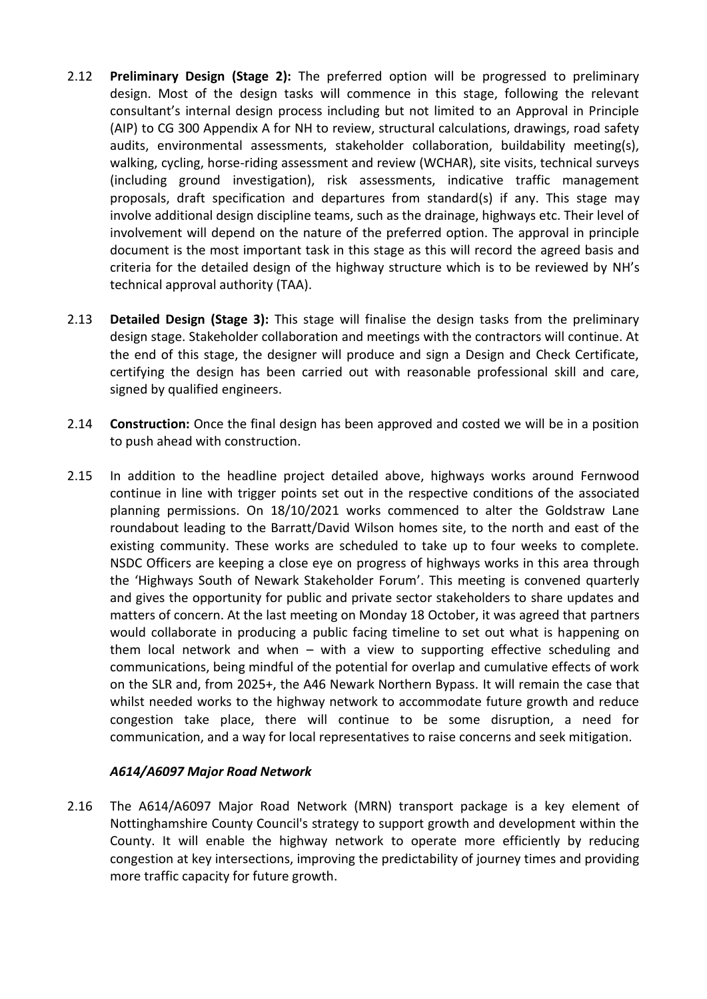- 2.12 **Preliminary Design (Stage 2):** The preferred option will be progressed to preliminary design. Most of the design tasks will commence in this stage, following the relevant consultant's internal design process including but not limited to an Approval in Principle (AIP) to CG 300 Appendix A for NH to review, structural calculations, drawings, road safety audits, environmental assessments, stakeholder collaboration, buildability meeting(s), walking, cycling, horse-riding assessment and review (WCHAR), site visits, technical surveys (including ground investigation), risk assessments, indicative traffic management proposals, draft specification and departures from standard(s) if any. This stage may involve additional design discipline teams, such as the drainage, highways etc. Their level of involvement will depend on the nature of the preferred option. The approval in principle document is the most important task in this stage as this will record the agreed basis and criteria for the detailed design of the highway structure which is to be reviewed by NH's technical approval authority (TAA).
- 2.13 **Detailed Design (Stage 3):** This stage will finalise the design tasks from the preliminary design stage. Stakeholder collaboration and meetings with the contractors will continue. At the end of this stage, the designer will produce and sign a Design and Check Certificate, certifying the design has been carried out with reasonable professional skill and care, signed by qualified engineers.
- 2.14 **Construction:** Once the final design has been approved and costed we will be in a position to push ahead with construction.
- 2.15 In addition to the headline project detailed above, highways works around Fernwood continue in line with trigger points set out in the respective conditions of the associated planning permissions. On 18/10/2021 works commenced to alter the Goldstraw Lane roundabout leading to the Barratt/David Wilson homes site, to the north and east of the existing community. These works are scheduled to take up to four weeks to complete. NSDC Officers are keeping a close eye on progress of highways works in this area through the 'Highways South of Newark Stakeholder Forum'. This meeting is convened quarterly and gives the opportunity for public and private sector stakeholders to share updates and matters of concern. At the last meeting on Monday 18 October, it was agreed that partners would collaborate in producing a public facing timeline to set out what is happening on them local network and when – with a view to supporting effective scheduling and communications, being mindful of the potential for overlap and cumulative effects of work on the SLR and, from 2025+, the A46 Newark Northern Bypass. It will remain the case that whilst needed works to the highway network to accommodate future growth and reduce congestion take place, there will continue to be some disruption, a need for communication, and a way for local representatives to raise concerns and seek mitigation.

### *A614/A6097 Major Road Network*

2.16 The A614/A6097 Major Road Network (MRN) transport package is a key element of Nottinghamshire County Council's strategy to support growth and development within the County. It will enable the highway network to operate more efficiently by reducing congestion at key intersections, improving the predictability of journey times and providing more traffic capacity for future growth.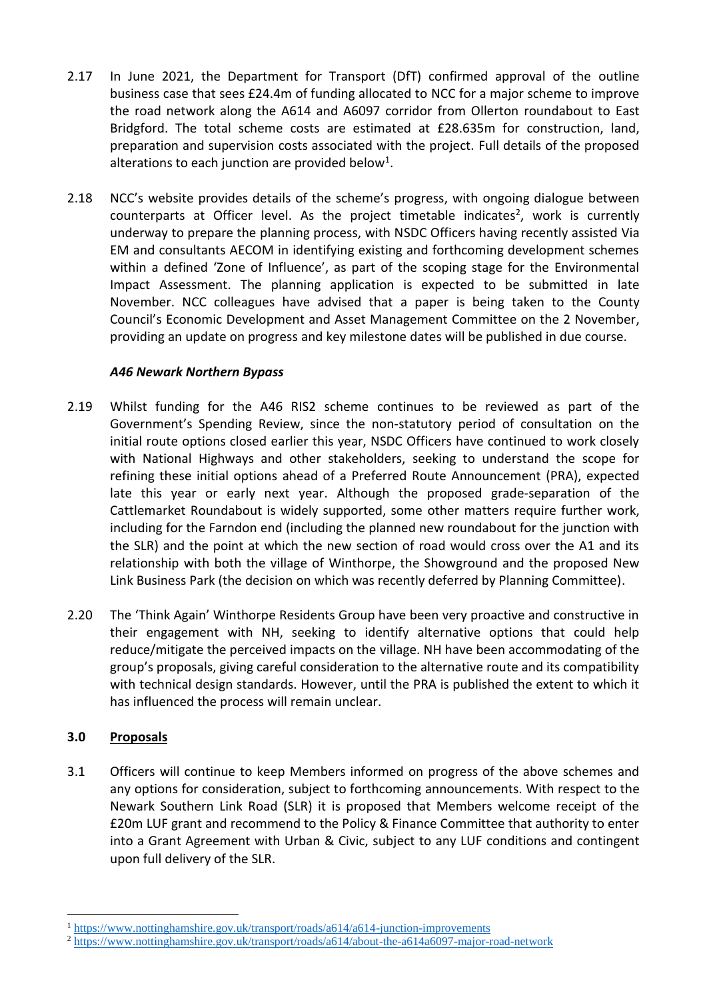- 2.17 In June 2021, the Department for Transport (DfT) confirmed approval of the outline business case that sees £24.4m of funding allocated to NCC for a major scheme to improve the road network along the A614 and A6097 corridor from Ollerton roundabout to East Bridgford. The total scheme costs are estimated at £28.635m for construction, land, preparation and supervision costs associated with the project. Full details of the proposed alterations to each junction are provided below<sup>1</sup>.
- 2.18 NCC's website provides details of the scheme's progress, with ongoing dialogue between counterparts at Officer level. As the project timetable indicates<sup>2</sup>, work is currently underway to prepare the planning process, with NSDC Officers having recently assisted Via EM and consultants AECOM in identifying existing and forthcoming development schemes within a defined 'Zone of Influence', as part of the scoping stage for the Environmental Impact Assessment. The planning application is expected to be submitted in late November. NCC colleagues have advised that a paper is being taken to the County Council's Economic Development and Asset Management Committee on the 2 November, providing an update on progress and key milestone dates will be published in due course.

# *A46 Newark Northern Bypass*

- 2.19 Whilst funding for the A46 RIS2 scheme continues to be reviewed as part of the Government's Spending Review, since the non-statutory period of consultation on the initial route options closed earlier this year, NSDC Officers have continued to work closely with National Highways and other stakeholders, seeking to understand the scope for refining these initial options ahead of a Preferred Route Announcement (PRA), expected late this year or early next year. Although the proposed grade-separation of the Cattlemarket Roundabout is widely supported, some other matters require further work, including for the Farndon end (including the planned new roundabout for the junction with the SLR) and the point at which the new section of road would cross over the A1 and its relationship with both the village of Winthorpe, the Showground and the proposed New Link Business Park (the decision on which was recently deferred by Planning Committee).
- 2.20 The 'Think Again' Winthorpe Residents Group have been very proactive and constructive in their engagement with NH, seeking to identify alternative options that could help reduce/mitigate the perceived impacts on the village. NH have been accommodating of the group's proposals, giving careful consideration to the alternative route and its compatibility with technical design standards. However, until the PRA is published the extent to which it has influenced the process will remain unclear.

# **3.0 Proposals**

<u>.</u>

3.1 Officers will continue to keep Members informed on progress of the above schemes and any options for consideration, subject to forthcoming announcements. With respect to the Newark Southern Link Road (SLR) it is proposed that Members welcome receipt of the £20m LUF grant and recommend to the Policy & Finance Committee that authority to enter into a Grant Agreement with Urban & Civic, subject to any LUF conditions and contingent upon full delivery of the SLR.

<sup>1</sup> <https://www.nottinghamshire.gov.uk/transport/roads/a614/a614-junction-improvements>

<sup>&</sup>lt;sup>2</sup> <https://www.nottinghamshire.gov.uk/transport/roads/a614/about-the-a614a6097-major-road-network>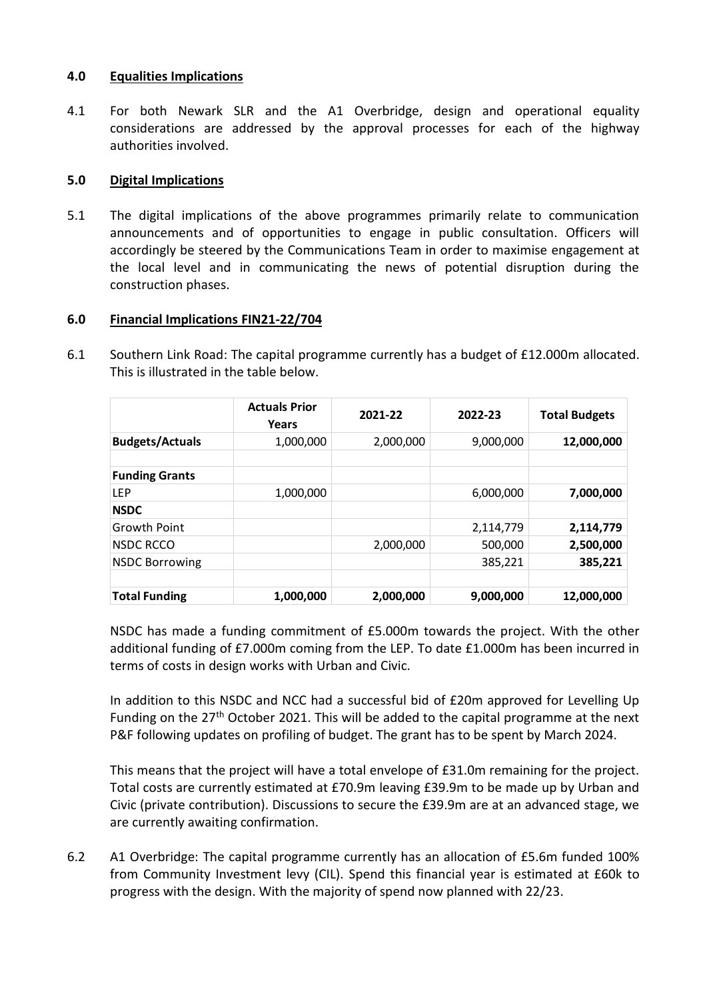### **4.0 Equalities Implications**

4.1 For both Newark SLR and the A1 Overbridge, design and operational equality considerations are addressed by the approval processes for each of the highway authorities involved.

#### **5.0 Digital Implications**

5.1 The digital implications of the above programmes primarily relate to communication announcements and of opportunities to engage in public consultation. Officers will accordingly be steered by the Communications Team in order to maximise engagement at the local level and in communicating the news of potential disruption during the construction phases.

### **6.0 Financial Implications FIN21-22/704**

6.1 Southern Link Road: The capital programme currently has a budget of £12.000m allocated. This is illustrated in the table below.

|                        | <b>Actuals Prior</b><br>Years | 2021-22   | 2022-23   | <b>Total Budgets</b> |
|------------------------|-------------------------------|-----------|-----------|----------------------|
| <b>Budgets/Actuals</b> | 1,000,000                     | 2,000,000 | 9,000,000 | 12,000,000           |
| <b>Funding Grants</b>  |                               |           |           |                      |
| <b>LEP</b>             | 1,000,000                     |           | 6,000,000 | 7,000,000            |
| <b>NSDC</b>            |                               |           |           |                      |
| <b>Growth Point</b>    |                               |           | 2,114,779 | 2,114,779            |
| <b>NSDC RCCO</b>       |                               | 2,000,000 | 500,000   | 2,500,000            |
| <b>NSDC Borrowing</b>  |                               |           | 385,221   | 385,221              |
| <b>Total Funding</b>   | 1,000,000                     | 2,000,000 | 9,000,000 | 12,000,000           |

NSDC has made a funding commitment of £5.000m towards the project. With the other additional funding of £7.000m coming from the LEP. To date £1.000m has been incurred in terms of costs in design works with Urban and Civic.

In addition to this NSDC and NCC had a successful bid of £20m approved for Levelling Up Funding on the  $27<sup>th</sup>$  October 2021. This will be added to the capital programme at the next P&F following updates on profiling of budget. The grant has to be spent by March 2024.

This means that the project will have a total envelope of £31.0m remaining for the project. Total costs are currently estimated at £70.9m leaving £39.9m to be made up by Urban and Civic (private contribution). Discussions to secure the £39.9m are at an advanced stage, we are currently awaiting confirmation.

6.2 A1 Overbridge: The capital programme currently has an allocation of £5.6m funded 100% from Community Investment levy (CIL). Spend this financial year is estimated at £60k to progress with the design. With the majority of spend now planned with 22/23.